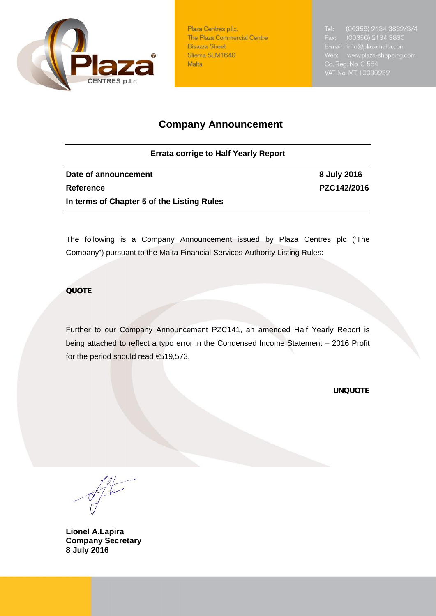

Plaza Centres p.l.c. The Plaza Commercial Centre **Bisazza Street** Sliema SLM1640 Malta

# **Company Announcement**

**Errata corrige to Half Yearly Report**

**Date of announcement 8 July 2016 Reference PZC142/2016 In terms of Chapter 5 of the Listing Rules**

The following is a Company Announcement issued by Plaza Centres plc ('The Company") pursuant to the Malta Financial Services Authority Listing Rules:

### *QUOTE*

Further to our Company Announcement PZC141, an amended Half Yearly Report is being attached to reflect a typo error in the Condensed Income Statement – 2016 Profit for the period should read €519,573.

*UNQUOTE*

**Lionel A.Lapira Company Secretary 8 July 2016**